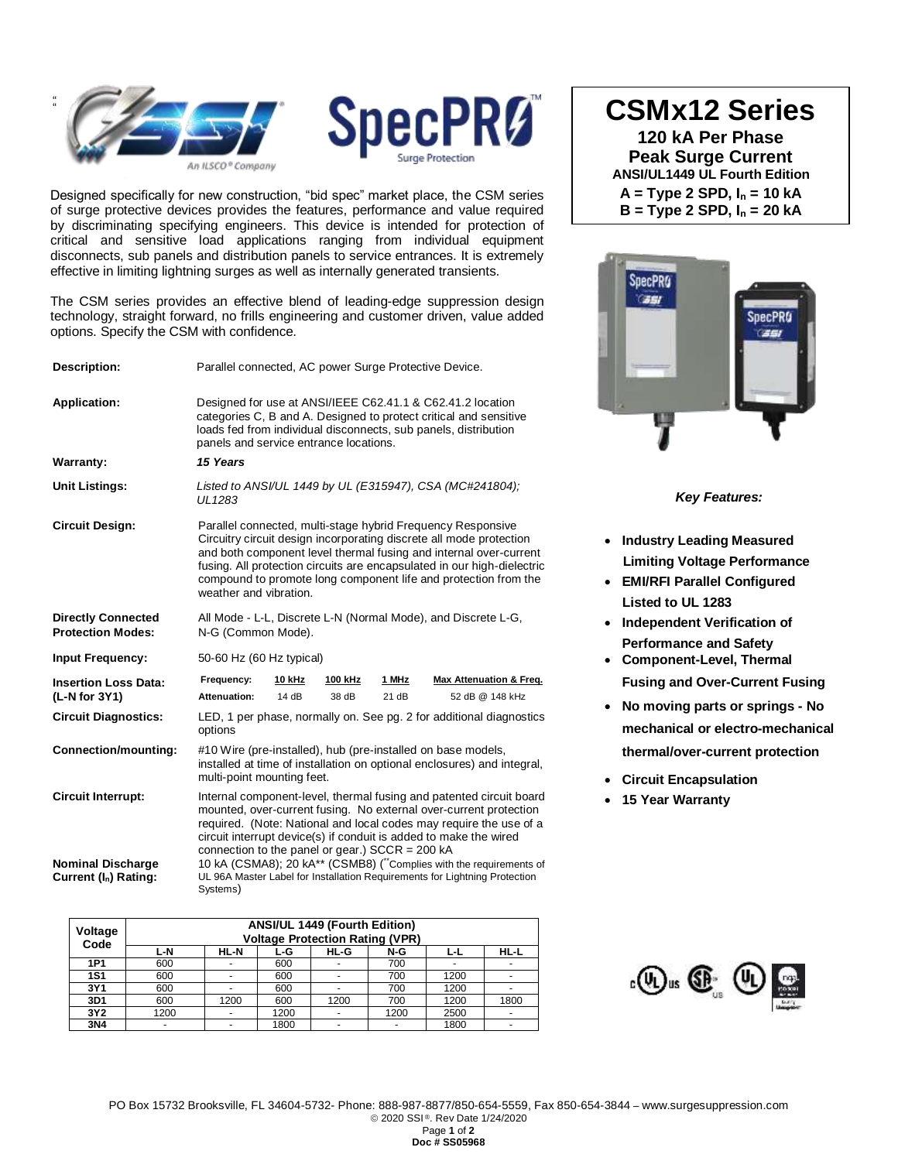



Designed specifically for new construction, "bid spec" market place, the CSM series of surge protective devices provides the features, performance and value required by discriminating specifying engineers. This device is intended for protection of critical and sensitive load applications ranging from individual equipment disconnects, sub panels and distribution panels to service entrances. It is extremely effective in limiting lightning surges as well as internally generated transients.

The CSM series provides an effective blend of leading-edge suppression design technology, straight forward, no frills engineering and customer driven, value added options. Specify the CSM with confidence.

| Description:                                                                               | Parallel connected, AC power Surge Protective Device.                                                                                                                                                                                                                                                                                                                                                                                                                                                    |                        |                         |                |                                                       |  |  |
|--------------------------------------------------------------------------------------------|----------------------------------------------------------------------------------------------------------------------------------------------------------------------------------------------------------------------------------------------------------------------------------------------------------------------------------------------------------------------------------------------------------------------------------------------------------------------------------------------------------|------------------------|-------------------------|----------------|-------------------------------------------------------|--|--|
| <b>Application:</b>                                                                        | Designed for use at ANSI/IEEE C62.41.1 & C62.41.2 location<br>categories C, B and A. Designed to protect critical and sensitive<br>loads fed from individual disconnects, sub panels, distribution<br>panels and service entrance locations.                                                                                                                                                                                                                                                             |                        |                         |                |                                                       |  |  |
| Warranty:                                                                                  | 15 Years                                                                                                                                                                                                                                                                                                                                                                                                                                                                                                 |                        |                         |                |                                                       |  |  |
| <b>Unit Listings:</b>                                                                      | Listed to ANSI/UL 1449 by UL (E315947), CSA (MC#241804);<br>UL1283                                                                                                                                                                                                                                                                                                                                                                                                                                       |                        |                         |                |                                                       |  |  |
| <b>Circuit Design:</b>                                                                     | Parallel connected, multi-stage hybrid Frequency Responsive<br>Circuitry circuit design incorporating discrete all mode protection<br>and both component level thermal fusing and internal over-current<br>fusing. All protection circuits are encapsulated in our high-dielectric<br>compound to promote long component life and protection from the<br>weather and vibration.                                                                                                                          |                        |                         |                |                                                       |  |  |
| <b>Directly Connected</b><br><b>Protection Modes:</b>                                      | All Mode - L-L, Discrete L-N (Normal Mode), and Discrete L-G,<br>N-G (Common Mode).                                                                                                                                                                                                                                                                                                                                                                                                                      |                        |                         |                |                                                       |  |  |
| <b>Input Frequency:</b>                                                                    | 50-60 Hz (60 Hz typical)                                                                                                                                                                                                                                                                                                                                                                                                                                                                                 |                        |                         |                |                                                       |  |  |
| <b>Insertion Loss Data:</b><br>(L-N for 3Y1)                                               | Frequency:<br>Attenuation:                                                                                                                                                                                                                                                                                                                                                                                                                                                                               | <u>10 kHz</u><br>14 dB | <u>100 kHz</u><br>38 dB | 1 MHz<br>21 dB | <b>Max Attenuation &amp; Freg.</b><br>52 dB @ 148 kHz |  |  |
| <b>Circuit Diagnostics:</b>                                                                | LED, 1 per phase, normally on. See pg. 2 for additional diagnostics<br>options                                                                                                                                                                                                                                                                                                                                                                                                                           |                        |                         |                |                                                       |  |  |
| <b>Connection/mounting:</b>                                                                | #10 Wire (pre-installed), hub (pre-installed on base models,<br>installed at time of installation on optional enclosures) and integral,<br>multi-point mounting feet.                                                                                                                                                                                                                                                                                                                                    |                        |                         |                |                                                       |  |  |
| <b>Circuit Interrupt:</b><br><b>Nominal Discharge</b><br>Current (I <sub>n</sub> ) Rating: | Internal component-level, thermal fusing and patented circuit board<br>mounted, over-current fusing. No external over-current protection<br>required. (Note: National and local codes may require the use of a<br>circuit interrupt device(s) if conduit is added to make the wired<br>connection to the panel or gear.) $SCCR = 200 kA$<br>10 kA (CSMA8); 20 kA** (CSMB8) ("Complies with the requirements of<br>UL 96A Master Label for Installation Requirements for Lightning Protection<br>Systems) |                        |                         |                |                                                       |  |  |

| Voltage<br>Code | ANSI/UL 1449 (Fourth Edition)<br><b>Voltage Protection Rating (VPR)</b> |             |      |      |      |                |                          |  |  |
|-----------------|-------------------------------------------------------------------------|-------------|------|------|------|----------------|--------------------------|--|--|
|                 | L-N                                                                     | <b>HL-N</b> | L-G  | HL-G | N-G  | ĿL             | <b>HL-L</b>              |  |  |
| 1P1             | 600                                                                     |             | 600  |      | 700  | $\overline{a}$ |                          |  |  |
| <b>1S1</b>      | 600                                                                     |             | 600  |      | 700  | 1200           |                          |  |  |
| 3Y1             | 600                                                                     |             | 600  |      | 700  | 1200           |                          |  |  |
| 3D1             | 600                                                                     | 1200        | 600  | 1200 | 700  | 1200           | 1800                     |  |  |
| 3Y2             | 1200                                                                    |             | 1200 |      | 1200 | 2500           | $\overline{\phantom{0}}$ |  |  |
| 3N4             |                                                                         |             | 1800 |      |      | 1800           |                          |  |  |

**CSMx12 Series**

**120 kA Per Phase Peak Surge Current ANSI/UL1449 UL Fourth Edition A = Type 2 SPD, I<sup>n</sup> = 10 kA B = Type 2 SPD, I<sup>n</sup> = 20 kA**



*Key Features:*

- **Industry Leading Measured Limiting Voltage Performance**
- **EMI/RFI Parallel Configured Listed to UL 1283**
- **Independent Verification of Performance and Safety**
- **Component-Level, Thermal Fusing and Over-Current Fusing**
- **No moving parts or springs - No mechanical or electro-mechanical thermal/over-current protection**
- **Circuit Encapsulation**
- **15 Year Warranty**